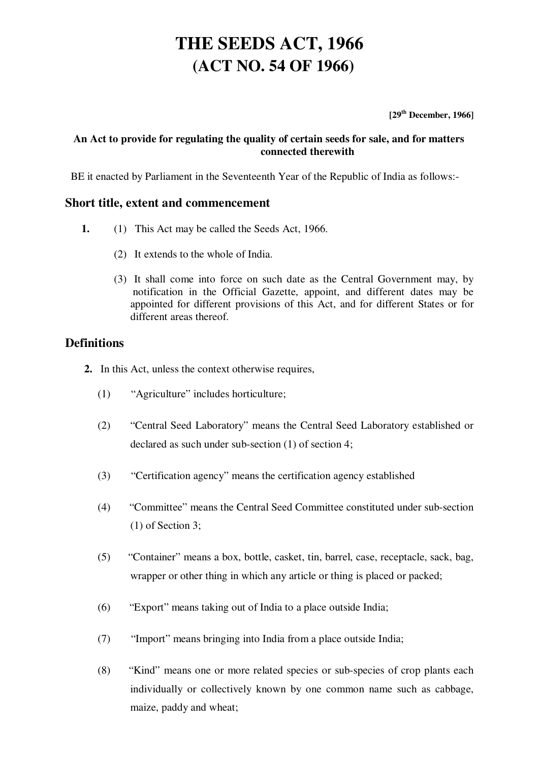# **THE SEEDS ACT, 1966 (ACT NO. 54 OF 1966)**

**[29th December, 1966]**

#### **An Act to provide for regulating the quality of certain seeds for sale, and for matters connected therewith**

BE it enacted by Parliament in the Seventeenth Year of the Republic of India as follows:-

## **Short title, extent and commencement**

- **1.** (1) This Act may be called the Seeds Act, 1966.
	- (2) It extends to the whole of India.
	- (3) It shall come into force on such date as the Central Government may, by notification in the Official Gazette, appoint, and different dates may be appointed for different provisions of this Act, and for different States or for different areas thereof.

# **Definitions**

- **2.** In this Act, unless the context otherwise requires,
	- (1) "Agriculture" includes horticulture;
	- (2) "Central Seed Laboratory" means the Central Seed Laboratory established or declared as such under sub-section (1) of section 4;
	- (3) "Certification agency" means the certification agency established
	- (4) "Committee" means the Central Seed Committee constituted under sub-section (1) of Section 3;
	- (5) "Container" means a box, bottle, casket, tin, barrel, case, receptacle, sack, bag, wrapper or other thing in which any article or thing is placed or packed;
	- (6) "Export" means taking out of India to a place outside India;
	- (7) "Import" means bringing into India from a place outside India;
	- (8) "Kind" means one or more related species or sub-species of crop plants each individually or collectively known by one common name such as cabbage, maize, paddy and wheat;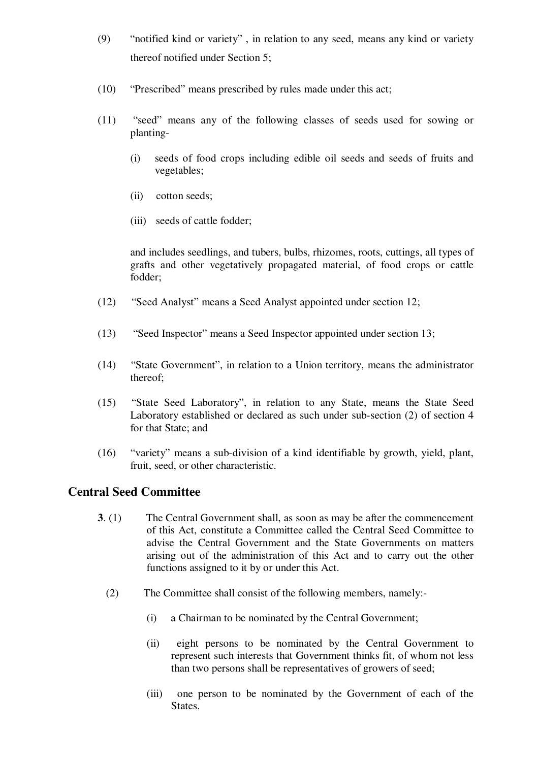- (9) "notified kind or variety" , in relation to any seed, means any kind or variety thereof notified under Section 5;
- (10) "Prescribed" means prescribed by rules made under this act;
- (11) "seed" means any of the following classes of seeds used for sowing or planting-
	- (i) seeds of food crops including edible oil seeds and seeds of fruits and vegetables;
	- (ii) cotton seeds;
	- (iii) seeds of cattle fodder;

and includes seedlings, and tubers, bulbs, rhizomes, roots, cuttings, all types of grafts and other vegetatively propagated material, of food crops or cattle fodder;

- (12) "Seed Analyst" means a Seed Analyst appointed under section 12;
- (13) "Seed Inspector" means a Seed Inspector appointed under section 13;
- (14) "State Government", in relation to a Union territory, means the administrator thereof;
- (15) "State Seed Laboratory", in relation to any State, means the State Seed Laboratory established or declared as such under sub-section (2) of section 4 for that State; and
- (16) "variety" means a sub-division of a kind identifiable by growth, yield, plant, fruit, seed, or other characteristic.

## **Central Seed Committee**

- **3**. (1) The Central Government shall, as soon as may be after the commencement of this Act, constitute a Committee called the Central Seed Committee to advise the Central Government and the State Governments on matters arising out of the administration of this Act and to carry out the other functions assigned to it by or under this Act.
	- (2) The Committee shall consist of the following members, namely:-
		- (i) a Chairman to be nominated by the Central Government;
		- (ii) eight persons to be nominated by the Central Government to represent such interests that Government thinks fit, of whom not less than two persons shall be representatives of growers of seed;
		- (iii) one person to be nominated by the Government of each of the States.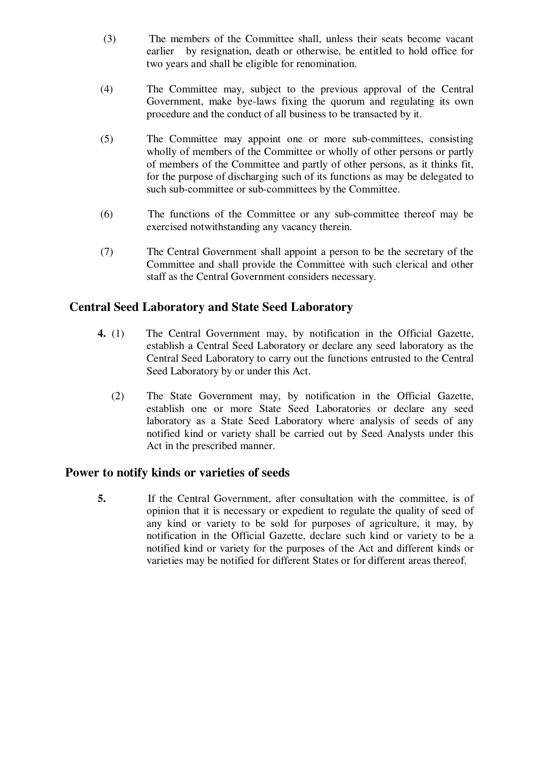- (3) The members of the Committee shall, unless their seats become vacant earlier by resignation, death or otherwise, be entitled to hold office for two years and shall be eligible for renomination.
- (4) The Committee may, subject to the previous approval of the Central Government, make bye-laws fixing the quorum and regulating its own procedure and the conduct of all business to be transacted by it.
- (5) The Committee may appoint one or more sub-committees, consisting wholly of members of the Committee or wholly of other persons or partly of members of the Committee and partly of other persons, as it thinks fit, for the purpose of discharging such of its functions as may be delegated to such sub-committee or sub-committees by the Committee.
- (6) The functions of the Committee or any sub-committee thereof may be exercised notwithstanding any vacancy therein.
- (7) The Central Government shall appoint a person to be the secretary of the Committee and shall provide the Committee with such clerical and other staff as the Central Government considers necessary.

## **Central Seed Laboratory and State Seed Laboratory**

- **4.** (1) The Central Government may, by notification in the Official Gazette, establish a Central Seed Laboratory or declare any seed laboratory as the Central Seed Laboratory to carry out the functions entrusted to the Central Seed Laboratory by or under this Act.
	- (2) The State Government may, by notification in the Official Gazette, establish one or more State Seed Laboratories or declare any seed laboratory as a State Seed Laboratory where analysis of seeds of any notified kind or variety shall be carried out by Seed Analysts under this Act in the prescribed manner.

## **Power to notify kinds or varieties of seeds**

**5.** If the Central Government, after consultation with the committee, is of opinion that it is necessary or expedient to regulate the quality of seed of any kind or variety to be sold for purposes of agriculture, it may, by notification in the Official Gazette, declare such kind or variety to be a notified kind or variety for the purposes of the Act and different kinds or varieties may be notified for different States or for different areas thereof.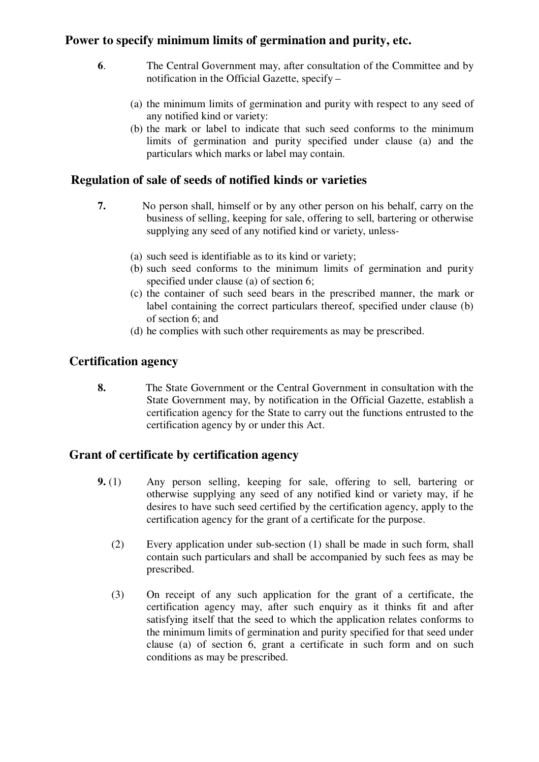# **Power to specify minimum limits of germination and purity, etc.**

- **6**. The Central Government may, after consultation of the Committee and by notification in the Official Gazette, specify –
	- (a) the minimum limits of germination and purity with respect to any seed of any notified kind or variety:
	- (b) the mark or label to indicate that such seed conforms to the minimum limits of germination and purity specified under clause (a) and the particulars which marks or label may contain.

# **Regulation of sale of seeds of notified kinds or varieties**

- **7.** No person shall, himself or by any other person on his behalf, carry on the business of selling, keeping for sale, offering to sell, bartering or otherwise supplying any seed of any notified kind or variety, unless-
	- (a) such seed is identifiable as to its kind or variety;
	- (b) such seed conforms to the minimum limits of germination and purity specified under clause (a) of section 6;
	- (c) the container of such seed bears in the prescribed manner, the mark or label containing the correct particulars thereof, specified under clause (b) of section 6; and
	- (d) he complies with such other requirements as may be prescribed.

# **Certification agency**

**8.** The State Government or the Central Government in consultation with the State Government may, by notification in the Official Gazette, establish a certification agency for the State to carry out the functions entrusted to the certification agency by or under this Act.

# **Grant of certificate by certification agency**

- **9.** (1) Any person selling, keeping for sale, offering to sell, bartering or otherwise supplying any seed of any notified kind or variety may, if he desires to have such seed certified by the certification agency, apply to the certification agency for the grant of a certificate for the purpose.
	- (2) Every application under sub-section (1) shall be made in such form, shall contain such particulars and shall be accompanied by such fees as may be prescribed.
	- (3) On receipt of any such application for the grant of a certificate, the certification agency may, after such enquiry as it thinks fit and after satisfying itself that the seed to which the application relates conforms to the minimum limits of germination and purity specified for that seed under clause (a) of section 6, grant a certificate in such form and on such conditions as may be prescribed.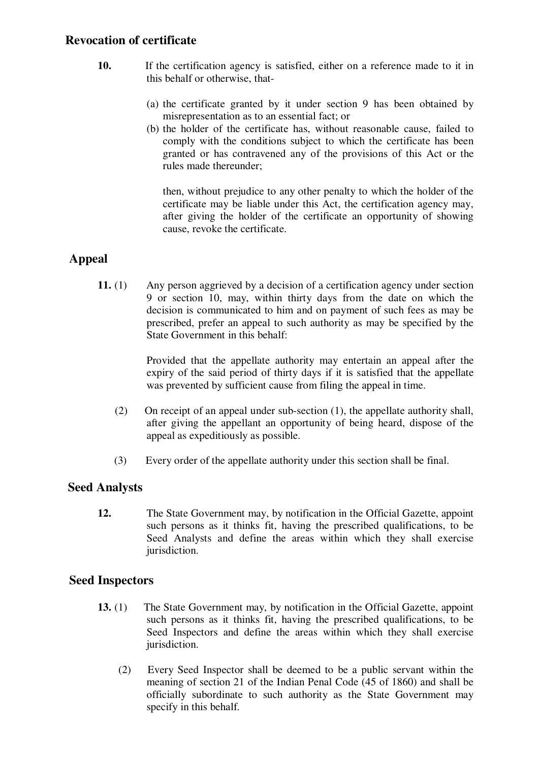# **Revocation of certificate**

- **10.** If the certification agency is satisfied, either on a reference made to it in this behalf or otherwise, that-
	- (a) the certificate granted by it under section 9 has been obtained by misrepresentation as to an essential fact; or
	- (b) the holder of the certificate has, without reasonable cause, failed to comply with the conditions subject to which the certificate has been granted or has contravened any of the provisions of this Act or the rules made thereunder;

then, without prejudice to any other penalty to which the holder of the certificate may be liable under this Act, the certification agency may, after giving the holder of the certificate an opportunity of showing cause, revoke the certificate.

# **Appeal**

**11.** (1) Any person aggrieved by a decision of a certification agency under section 9 or section 10, may, within thirty days from the date on which the decision is communicated to him and on payment of such fees as may be prescribed, prefer an appeal to such authority as may be specified by the State Government in this behalf:

> Provided that the appellate authority may entertain an appeal after the expiry of the said period of thirty days if it is satisfied that the appellate was prevented by sufficient cause from filing the appeal in time.

- (2) On receipt of an appeal under sub-section (1), the appellate authority shall, after giving the appellant an opportunity of being heard, dispose of the appeal as expeditiously as possible.
- (3) Every order of the appellate authority under this section shall be final.

## **Seed Analysts**

**12.** The State Government may, by notification in the Official Gazette, appoint such persons as it thinks fit, having the prescribed qualifications, to be Seed Analysts and define the areas within which they shall exercise jurisdiction.

#### **Seed Inspectors**

- **13.** (1) The State Government may, by notification in the Official Gazette, appoint such persons as it thinks fit, having the prescribed qualifications, to be Seed Inspectors and define the areas within which they shall exercise jurisdiction.
	- (2) Every Seed Inspector shall be deemed to be a public servant within the meaning of section 21 of the Indian Penal Code (45 of 1860) and shall be officially subordinate to such authority as the State Government may specify in this behalf.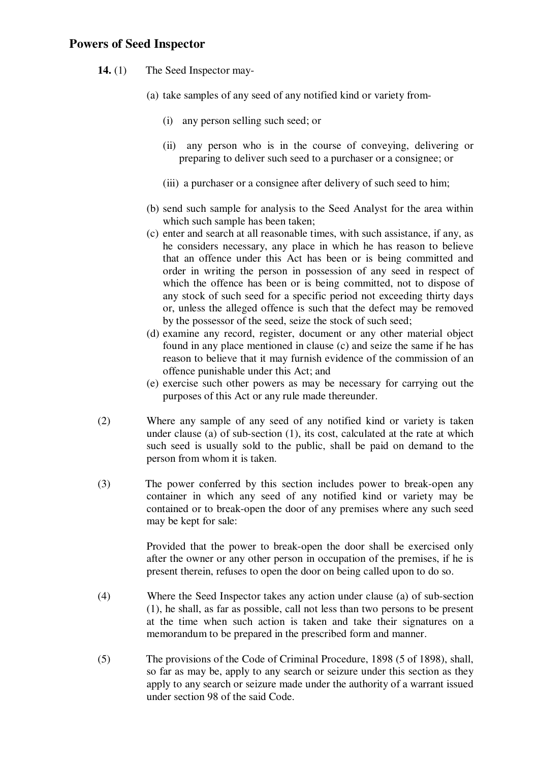## **Powers of Seed Inspector**

- **14.** (1) The Seed Inspector may-
	- (a) take samples of any seed of any notified kind or variety from-
		- (i) any person selling such seed; or
		- (ii) any person who is in the course of conveying, delivering or preparing to deliver such seed to a purchaser or a consignee; or
		- (iii) a purchaser or a consignee after delivery of such seed to him;
	- (b) send such sample for analysis to the Seed Analyst for the area within which such sample has been taken;
	- (c) enter and search at all reasonable times, with such assistance, if any, as he considers necessary, any place in which he has reason to believe that an offence under this Act has been or is being committed and order in writing the person in possession of any seed in respect of which the offence has been or is being committed, not to dispose of any stock of such seed for a specific period not exceeding thirty days or, unless the alleged offence is such that the defect may be removed by the possessor of the seed, seize the stock of such seed;
	- (d) examine any record, register, document or any other material object found in any place mentioned in clause (c) and seize the same if he has reason to believe that it may furnish evidence of the commission of an offence punishable under this Act; and
	- (e) exercise such other powers as may be necessary for carrying out the purposes of this Act or any rule made thereunder.
- (2) Where any sample of any seed of any notified kind or variety is taken under clause (a) of sub-section (1), its cost, calculated at the rate at which such seed is usually sold to the public, shall be paid on demand to the person from whom it is taken.
- (3) The power conferred by this section includes power to break-open any container in which any seed of any notified kind or variety may be contained or to break-open the door of any premises where any such seed may be kept for sale:

 Provided that the power to break-open the door shall be exercised only after the owner or any other person in occupation of the premises, if he is present therein, refuses to open the door on being called upon to do so.

- (4) Where the Seed Inspector takes any action under clause (a) of sub-section (1), he shall, as far as possible, call not less than two persons to be present at the time when such action is taken and take their signatures on a memorandum to be prepared in the prescribed form and manner.
- (5) The provisions of the Code of Criminal Procedure, 1898 (5 of 1898), shall, so far as may be, apply to any search or seizure under this section as they apply to any search or seizure made under the authority of a warrant issued under section 98 of the said Code.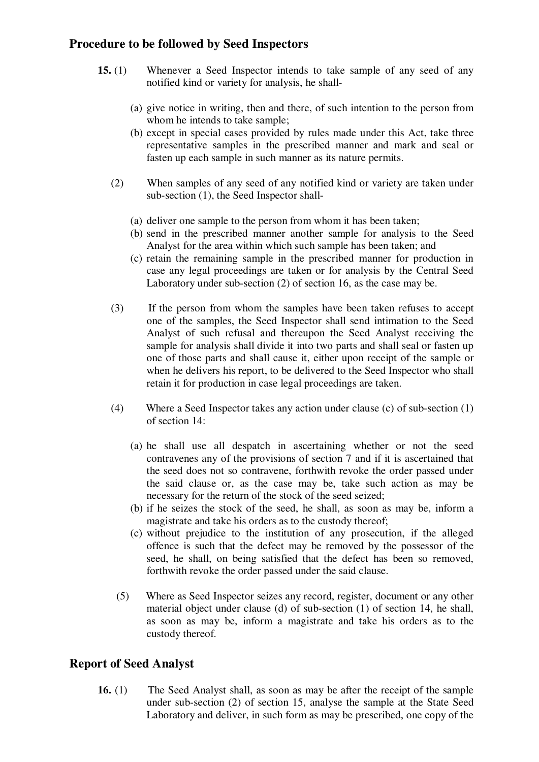## **Procedure to be followed by Seed Inspectors**

- **15.** (1) Whenever a Seed Inspector intends to take sample of any seed of any notified kind or variety for analysis, he shall-
	- (a) give notice in writing, then and there, of such intention to the person from whom he intends to take sample;
	- (b) except in special cases provided by rules made under this Act, take three representative samples in the prescribed manner and mark and seal or fasten up each sample in such manner as its nature permits.
	- (2) When samples of any seed of any notified kind or variety are taken under sub-section (1), the Seed Inspector shall-
		- (a) deliver one sample to the person from whom it has been taken;
		- (b) send in the prescribed manner another sample for analysis to the Seed Analyst for the area within which such sample has been taken; and
		- (c) retain the remaining sample in the prescribed manner for production in case any legal proceedings are taken or for analysis by the Central Seed Laboratory under sub-section (2) of section 16, as the case may be.
	- (3) If the person from whom the samples have been taken refuses to accept one of the samples, the Seed Inspector shall send intimation to the Seed Analyst of such refusal and thereupon the Seed Analyst receiving the sample for analysis shall divide it into two parts and shall seal or fasten up one of those parts and shall cause it, either upon receipt of the sample or when he delivers his report, to be delivered to the Seed Inspector who shall retain it for production in case legal proceedings are taken.
	- (4) Where a Seed Inspector takes any action under clause (c) of sub-section (1) of section 14:
		- (a) he shall use all despatch in ascertaining whether or not the seed contravenes any of the provisions of section 7 and if it is ascertained that the seed does not so contravene, forthwith revoke the order passed under the said clause or, as the case may be, take such action as may be necessary for the return of the stock of the seed seized;
		- (b) if he seizes the stock of the seed, he shall, as soon as may be, inform a magistrate and take his orders as to the custody thereof;
		- (c) without prejudice to the institution of any prosecution, if the alleged offence is such that the defect may be removed by the possessor of the seed, he shall, on being satisfied that the defect has been so removed, forthwith revoke the order passed under the said clause.
	- (5) Where as Seed Inspector seizes any record, register, document or any other material object under clause (d) of sub-section (1) of section 14, he shall, as soon as may be, inform a magistrate and take his orders as to the custody thereof.

## **Report of Seed Analyst**

**16.** (1) The Seed Analyst shall, as soon as may be after the receipt of the sample under sub-section (2) of section 15, analyse the sample at the State Seed Laboratory and deliver, in such form as may be prescribed, one copy of the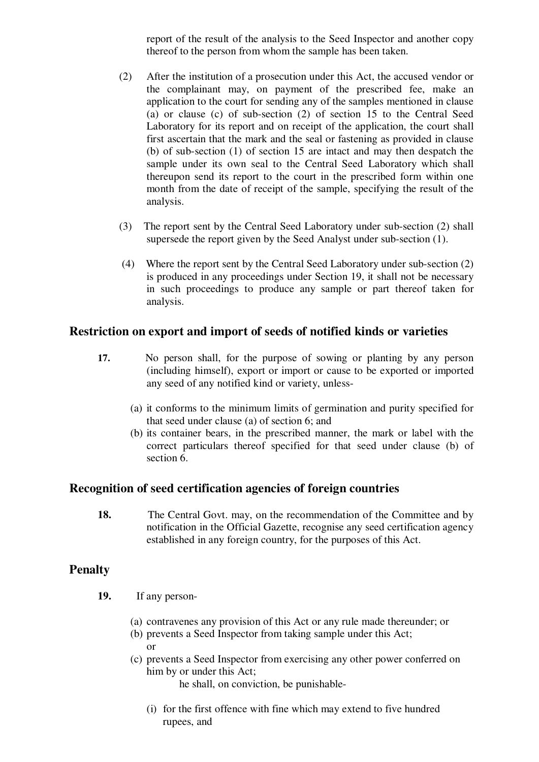report of the result of the analysis to the Seed Inspector and another copy thereof to the person from whom the sample has been taken.

- (2) After the institution of a prosecution under this Act, the accused vendor or the complainant may, on payment of the prescribed fee, make an application to the court for sending any of the samples mentioned in clause (a) or clause (c) of sub-section (2) of section 15 to the Central Seed Laboratory for its report and on receipt of the application, the court shall first ascertain that the mark and the seal or fastening as provided in clause (b) of sub-section (1) of section 15 are intact and may then despatch the sample under its own seal to the Central Seed Laboratory which shall thereupon send its report to the court in the prescribed form within one month from the date of receipt of the sample, specifying the result of the analysis.
- (3) The report sent by the Central Seed Laboratory under sub-section (2) shall supersede the report given by the Seed Analyst under sub-section (1).
- (4) Where the report sent by the Central Seed Laboratory under sub-section (2) is produced in any proceedings under Section 19, it shall not be necessary in such proceedings to produce any sample or part thereof taken for analysis.

### **Restriction on export and import of seeds of notified kinds or varieties**

- **17.** No person shall, for the purpose of sowing or planting by any person (including himself), export or import or cause to be exported or imported any seed of any notified kind or variety, unless-
	- (a) it conforms to the minimum limits of germination and purity specified for that seed under clause (a) of section 6; and
	- (b) its container bears, in the prescribed manner, the mark or label with the correct particulars thereof specified for that seed under clause (b) of section 6.

#### **Recognition of seed certification agencies of foreign countries**

**18.** The Central Govt. may, on the recommendation of the Committee and by notification in the Official Gazette, recognise any seed certification agency established in any foreign country, for the purposes of this Act.

#### **Penalty**

- **19.** If any person-
	- (a) contravenes any provision of this Act or any rule made thereunder; or
	- (b) prevents a Seed Inspector from taking sample under this Act; or
	- (c) prevents a Seed Inspector from exercising any other power conferred on him by or under this Act;

he shall, on conviction, be punishable-

(i) for the first offence with fine which may extend to five hundred rupees, and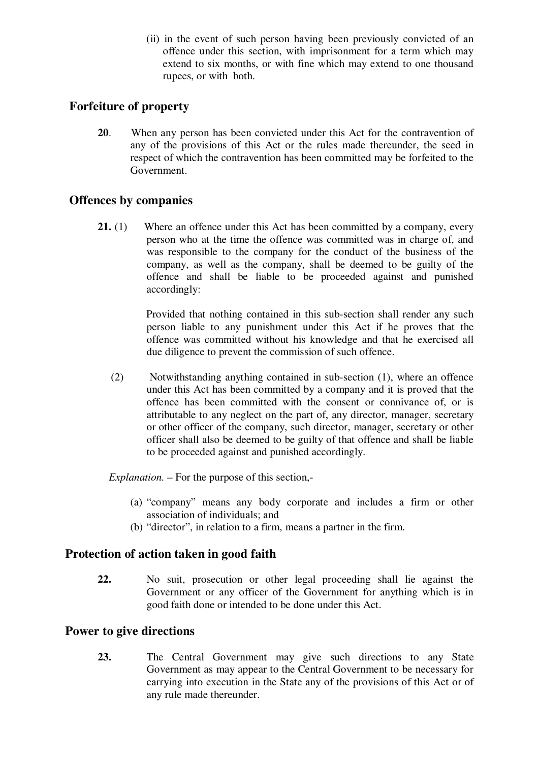(ii) in the event of such person having been previously convicted of an offence under this section, with imprisonment for a term which may extend to six months, or with fine which may extend to one thousand rupees, or with both.

# **Forfeiture of property**

**20**.When any person has been convicted under this Act for the contravention of any of the provisions of this Act or the rules made thereunder, the seed in respect of which the contravention has been committed may be forfeited to the Government.

# **Offences by companies**

**21.** (1) Where an offence under this Act has been committed by a company, every person who at the time the offence was committed was in charge of, and was responsible to the company for the conduct of the business of the company, as well as the company, shall be deemed to be guilty of the offence and shall be liable to be proceeded against and punished accordingly:

> Provided that nothing contained in this sub-section shall render any such person liable to any punishment under this Act if he proves that the offence was committed without his knowledge and that he exercised all due diligence to prevent the commission of such offence.

 (2) Notwithstanding anything contained in sub-section (1), where an offence under this Act has been committed by a company and it is proved that the offence has been committed with the consent or connivance of, or is attributable to any neglect on the part of, any director, manager, secretary or other officer of the company, such director, manager, secretary or other officer shall also be deemed to be guilty of that offence and shall be liable to be proceeded against and punished accordingly.

 *Explanation.* – For the purpose of this section,-

- (a) "company" means any body corporate and includes a firm or other association of individuals; and
- (b) "director", in relation to a firm, means a partner in the firm.

# **Protection of action taken in good faith**

**22.** No suit, prosecution or other legal proceeding shall lie against the Government or any officer of the Government for anything which is in good faith done or intended to be done under this Act.

## **Power to give directions**

**23.** The Central Government may give such directions to any State Government as may appear to the Central Government to be necessary for carrying into execution in the State any of the provisions of this Act or of any rule made thereunder.